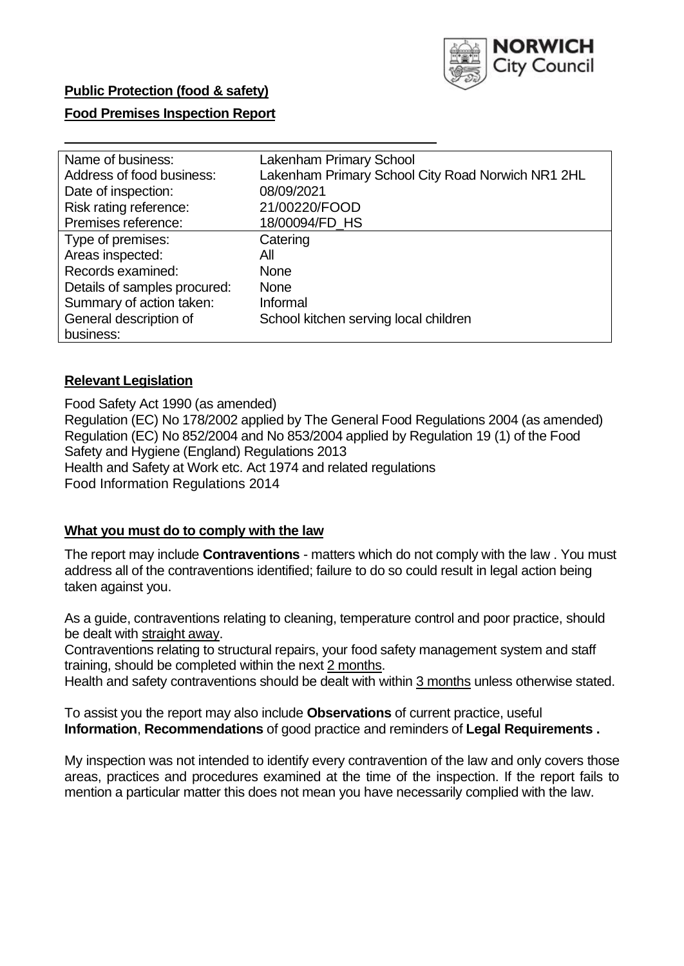

## **Food Premises Inspection Report**

| Lakenham Primary School                           |
|---------------------------------------------------|
| Lakenham Primary School City Road Norwich NR1 2HL |
| 08/09/2021                                        |
| 21/00220/FOOD                                     |
| 18/00094/FD HS                                    |
| Catering                                          |
| All                                               |
| <b>None</b>                                       |
| <b>None</b>                                       |
| Informal                                          |
| School kitchen serving local children             |
|                                                   |
|                                                   |

## **Relevant Legislation**

 Food Safety Act 1990 (as amended) Regulation (EC) No 178/2002 applied by The General Food Regulations 2004 (as amended) Regulation (EC) No 852/2004 and No 853/2004 applied by Regulation 19 (1) of the Food Safety and Hygiene (England) Regulations 2013 Health and Safety at Work etc. Act 1974 and related regulations Food Information Regulations 2014

#### **What you must do to comply with the law**

 The report may include **Contraventions** - matters which do not comply with the law . You must address all of the contraventions identified; failure to do so could result in legal action being taken against you.

 As a guide, contraventions relating to cleaning, temperature control and poor practice, should be dealt with straight away.

 Contraventions relating to structural repairs, your food safety management system and staff training, should be completed within the next 2 months.

Health and safety contraventions should be dealt with within 3 months unless otherwise stated.

 To assist you the report may also include **Observations** of current practice, useful **Information**, **Recommendations** of good practice and reminders of **Legal Requirements .** 

 My inspection was not intended to identify every contravention of the law and only covers those areas, practices and procedures examined at the time of the inspection. If the report fails to mention a particular matter this does not mean you have necessarily complied with the law.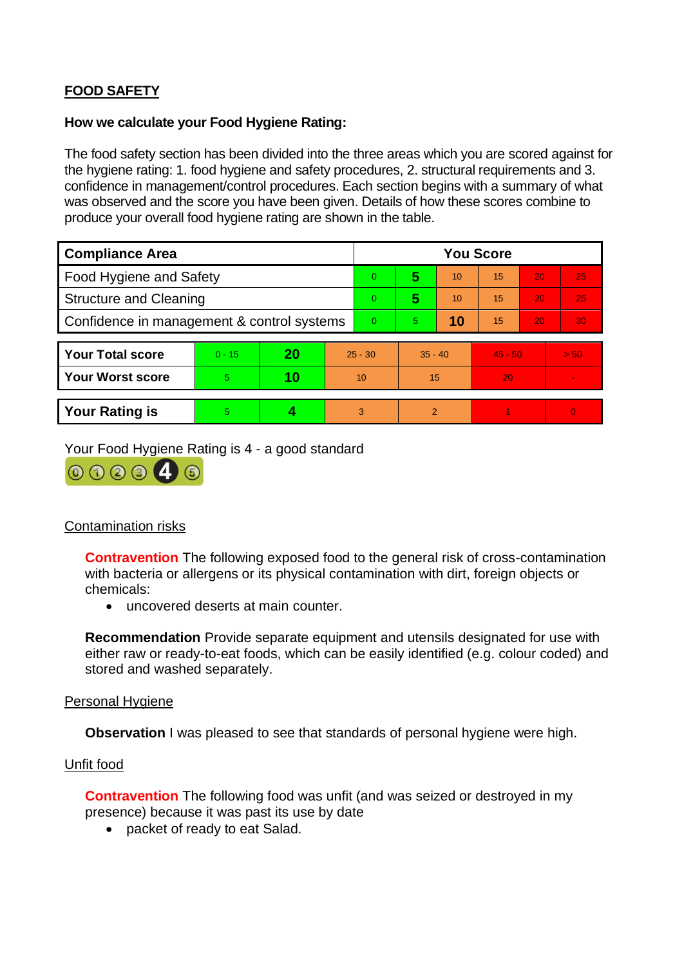# **FOOD SAFETY**

## **How we calculate your Food Hygiene Rating:**

 The food safety section has been divided into the three areas which you are scored against for the hygiene rating: 1. food hygiene and safety procedures, 2. structural requirements and 3. confidence in management/control procedures. Each section begins with a summary of what was observed and the score you have been given. Details of how these scores combine to produce your overall food hygiene rating are shown in the table.

| <b>Compliance Area</b>                     |          |    |    | <b>You Score</b> |                |    |           |    |                |  |
|--------------------------------------------|----------|----|----|------------------|----------------|----|-----------|----|----------------|--|
| Food Hygiene and Safety                    |          |    |    | $\Omega$         | 5              | 10 | 15        | 20 | 25             |  |
| <b>Structure and Cleaning</b>              |          |    |    | $\Omega$         | 5              | 10 | 15        | 20 | 25             |  |
| Confidence in management & control systems |          |    |    | $\Omega$         | 5.             | 10 | 15        | 20 | 30             |  |
|                                            |          |    |    |                  |                |    |           |    |                |  |
| <b>Your Total score</b>                    | $0 - 15$ | 20 |    | $25 - 30$        | $35 - 40$      |    | $45 - 50$ |    | > 50           |  |
| <b>Your Worst score</b>                    | 5        | 10 | 10 |                  | 15             |    | 20        |    | $\blacksquare$ |  |
|                                            |          |    |    |                  |                |    |           |    |                |  |
| <b>Your Rating is</b>                      | 5        |    |    | 3                | $\overline{2}$ |    |           |    | $\Omega$       |  |

Your Food Hygiene Rating is 4 - a good standard <br>  $\bigcirc$   $\bigcirc$   $\bigcirc$   $\bigcirc$   $\bigcirc$   $\bigcirc$ <br>
Contamination risks



 with bacteria or allergens or its physical contamination with dirt, foreign objects or **Contravention** The following exposed food to the general risk of cross-contamination chemicals:

• uncovered deserts at main counter.

**Recommendation** Provide separate equipment and utensils designated for use with either raw or ready-to-eat foods, which can be easily identified (e.g. colour coded) and stored and washed separately.

#### Personal Hygiene

**Observation** I was pleased to see that standards of personal hygiene were high.

## Unfit food

 presence) because it was past its use by date **Contravention** The following food was unfit (and was seized or destroyed in my

• packet of ready to eat Salad.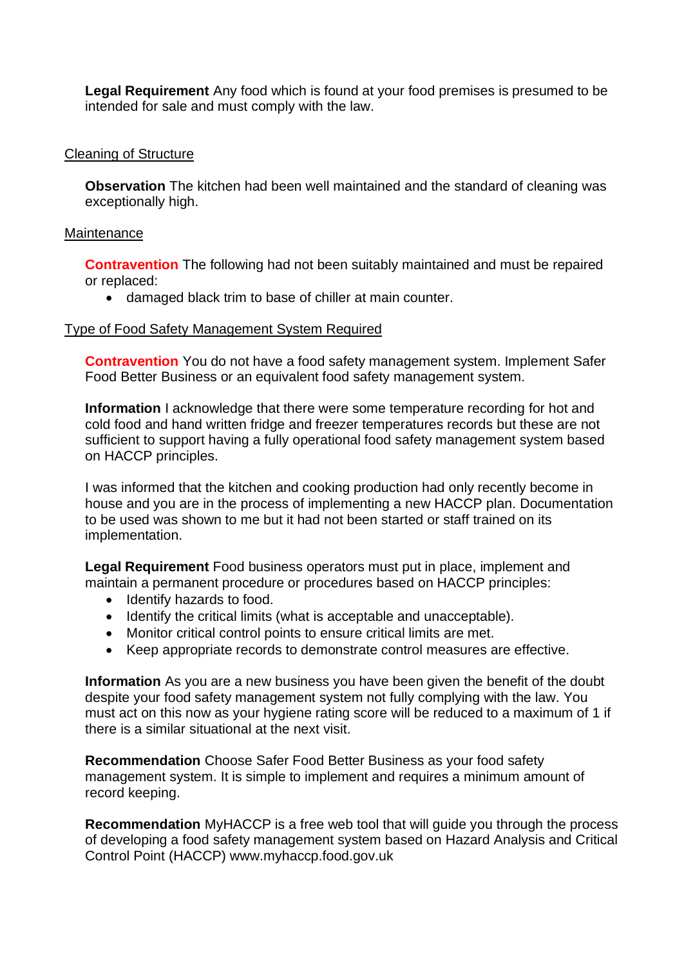**Legal Requirement** Any food which is found at your food premises is presumed to be intended for sale and must comply with the law.

## Cleaning of Structure

**Observation** The kitchen had been well maintained and the standard of cleaning was exceptionally high.

#### **Maintenance**

**Contravention** The following had not been suitably maintained and must be repaired or replaced:

• damaged black trim to base of chiller at main counter.

#### Type of Food Safety Management System Required

**Contravention** You do not have a food safety management system. Implement Safer Food Better Business or an equivalent food safety management system.

**Information** I acknowledge that there were some temperature recording for hot and cold food and hand written fridge and freezer temperatures records but these are not sufficient to support having a fully operational food safety management system based on HACCP principles.

I was informed that the kitchen and cooking production had only recently become in house and you are in the process of implementing a new HACCP plan. Documentation to be used was shown to me but it had not been started or staff trained on its implementation.

 maintain a permanent procedure or procedures based on HACCP principles: **Legal Requirement** Food business operators must put in place, implement and

- Identify hazards to food.
- Identify the critical limits (what is acceptable and unacceptable).
- Monitor critical control points to ensure critical limits are met.
- Keep appropriate records to demonstrate control measures are effective.

 **Information** As you are a new business you have been given the benefit of the doubt despite your food safety management system not fully complying with the law. You must act on this now as your hygiene rating score will be reduced to a maximum of 1 if there is a similar situational at the next visit.

**Recommendation** Choose Safer Food Better Business as your food safety management system. It is simple to implement and requires a minimum amount of record keeping.

**Recommendation** MyHACCP is a free web tool that will guide you through the process of developing a food safety management system based on Hazard Analysis and Critical Control Point (HACCP)<www.myhaccp.food.gov.uk>